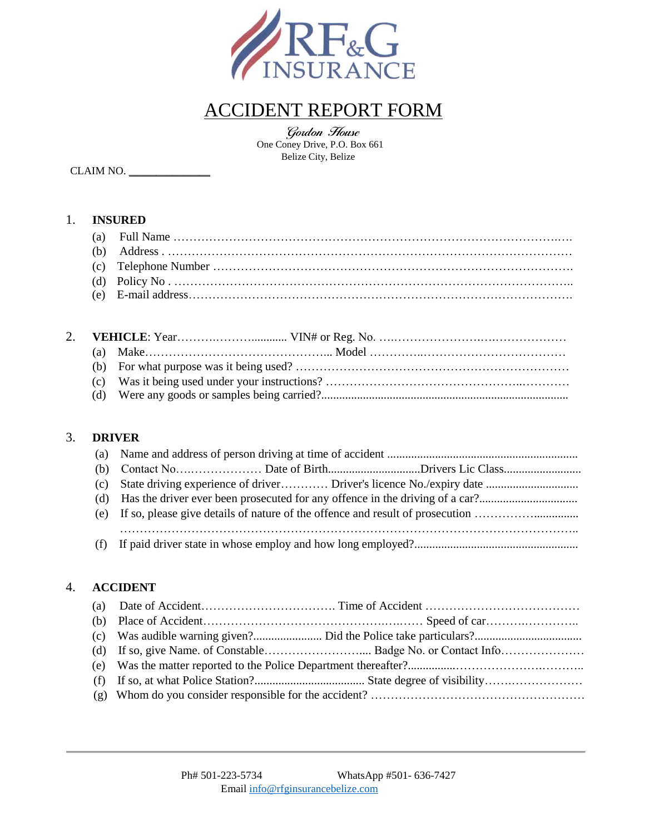

# ACCIDENT REPORT FORM

Gordon House<br>One Coney Drive, P.O. Box 661 Belize City, Belize

CLAIM NO. \_\_\_\_\_\_\_\_\_\_\_\_\_\_\_

## 1. **INSURED**

## 3. **DRIVER**

## 4. **ACCIDENT**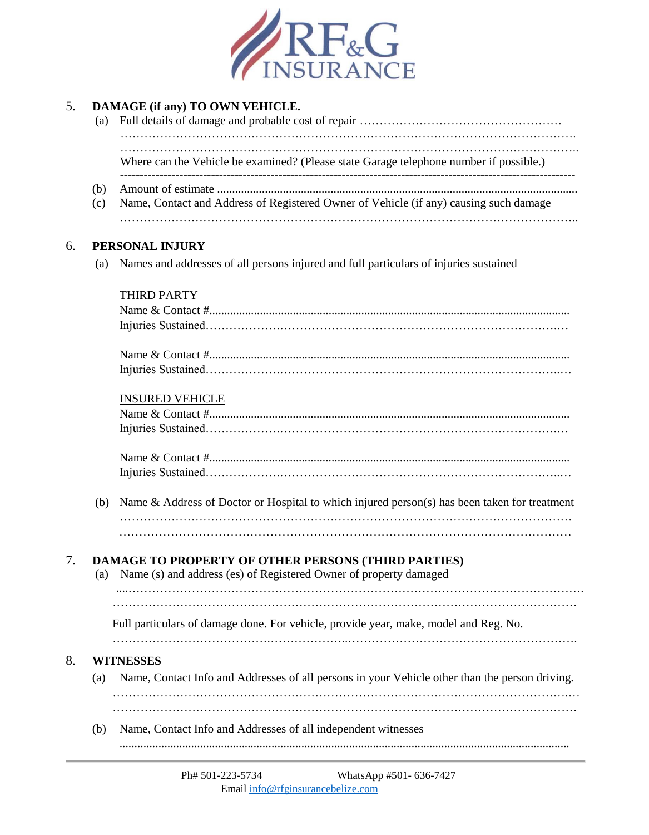

| 5. | (a)        | DAMAGE (if any) TO OWN VEHICLE.                                                                                                 |  |  |  |  |  |  |
|----|------------|---------------------------------------------------------------------------------------------------------------------------------|--|--|--|--|--|--|
|    |            | Where can the Vehicle be examined? (Please state Garage telephone number if possible.)                                          |  |  |  |  |  |  |
|    | (b)<br>(c) | Name, Contact and Address of Registered Owner of Vehicle (if any) causing such damage                                           |  |  |  |  |  |  |
| 6. |            | PERSONAL INJURY                                                                                                                 |  |  |  |  |  |  |
|    | (a)        | Names and addresses of all persons injured and full particulars of injuries sustained                                           |  |  |  |  |  |  |
|    |            | THIRD PARTY                                                                                                                     |  |  |  |  |  |  |
|    |            |                                                                                                                                 |  |  |  |  |  |  |
|    |            |                                                                                                                                 |  |  |  |  |  |  |
|    |            | <b>INSURED VEHICLE</b>                                                                                                          |  |  |  |  |  |  |
|    |            |                                                                                                                                 |  |  |  |  |  |  |
|    |            |                                                                                                                                 |  |  |  |  |  |  |
|    | (b)        | Name & Address of Doctor or Hospital to which injured person(s) has been taken for treatment                                    |  |  |  |  |  |  |
|    |            |                                                                                                                                 |  |  |  |  |  |  |
| 7. | (a)        | <b>DAMAGE TO PROPERTY OF OTHER PERSONS (THIRD PARTIES)</b><br>Name (s) and address (es) of Registered Owner of property damaged |  |  |  |  |  |  |
|    |            | Full particulars of damage done. For vehicle, provide year, make, model and Reg. No.                                            |  |  |  |  |  |  |
| 8. |            | <b>WITNESSES</b>                                                                                                                |  |  |  |  |  |  |
|    | (a)        | Name, Contact Info and Addresses of all persons in your Vehicle other than the person driving.                                  |  |  |  |  |  |  |
|    |            |                                                                                                                                 |  |  |  |  |  |  |
|    | (b)        | Name, Contact Info and Addresses of all independent witnesses                                                                   |  |  |  |  |  |  |
|    |            |                                                                                                                                 |  |  |  |  |  |  |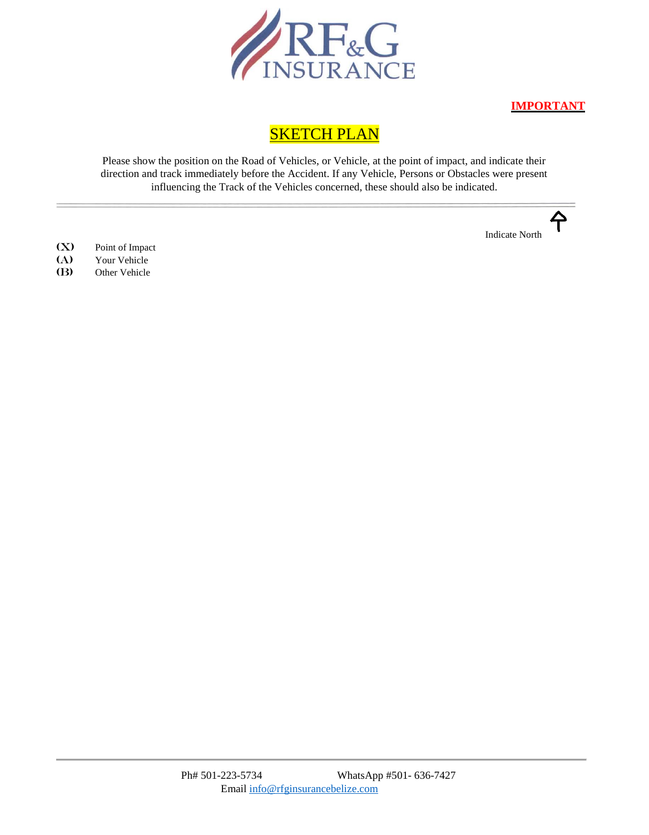

**IMPORTANT**

## **SKETCH PLAN**

Please show the position on the Road of Vehicles, or Vehicle, at the point of impact, and indicate their direction and track immediately before the Accident. If any Vehicle, Persons or Obstacles were present influencing the Track of the Vehicles concerned, these should also be indicated.

Indicate North

- (X) Point of Impact
- (A) Your Vehicle<br>(B) Other Vehicle
- Other Vehicle